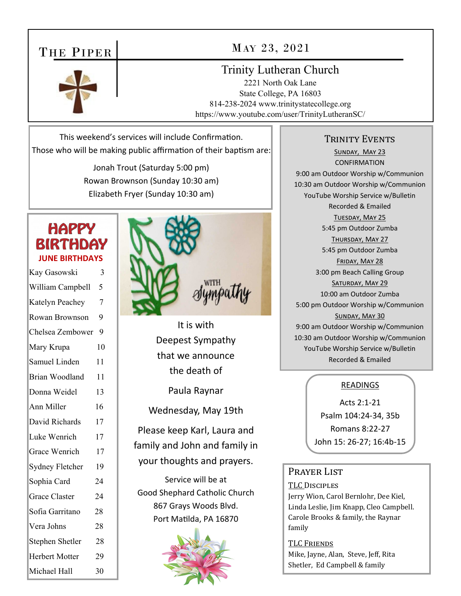## THE PIPER

#### MAY 23, 2021

#### Trinity Lutheran Church

2221 North Oak Lane State College, PA 16803 814-238-2024 www.trinitystatecollege.org https://www.youtube.com/user/TrinityLutheranSC/

This weekend's services will include Confirmation. Those who will be making public affirmation of their baptism are:

> Jonah Trout (Saturday 5:00 pm) Rowan Brownson (Sunday 10:30 am) Elizabeth Fryer (Sunday 10:30 am)

### **HAPPY BIRTHDAY JUNE BIRTHDAYS**

| Kay Gasowski          | 3              |
|-----------------------|----------------|
| William Campbell      | 5              |
| Katelyn Peachey       | $\overline{7}$ |
| Rowan Brownson        | 9              |
| Chelsea Zembower      | 9              |
| Mary Krupa            | 10             |
| Samuel Linden         | 11             |
| Brian Woodland        | 11             |
| Donna Weidel          | 13             |
| Ann Miller            | 16             |
| David Richards        | 17             |
| Luke Wenrich          | 17             |
| Grace Wenrich         | 17             |
| Sydney Fletcher       | 19             |
| Sophia Card           | 24             |
| <b>Grace Claster</b>  | 24             |
| Sofia Garritano       | 28             |
| Vera Johns            | 28             |
| Stephen Shetler       | 28             |
| <b>Herbert Motter</b> | 29             |
| Michael Hall          | 30             |



It is with Deepest Sympathy that we announce the death of

Paula Raynar

Wednesday, May 19th

Please keep Karl, Laura and family and John and family in your thoughts and prayers.

Service will be at Good Shephard Catholic Church 867 Grays Woods Blvd. Port Matilda, PA 16870



#### TRINITY EVENTS

SUNDAY, MAY 23 **CONFIRMATION** 9:00 am Outdoor Worship w/Communion 10:30 am Outdoor Worship w/Communion YouTube Worship Service w/Bulletin Recorded & Emailed TUESDAY, MAY 25 5:45 pm Outdoor Zumba THURSDAY, MAY 27 5:45 pm Outdoor Zumba FRIDAY, MAY 28 3:00 pm Beach Calling Group SATURDAY, MAY 29 10:00 am Outdoor Zumba 5:00 pm Outdoor Worship w/Communion SUNDAY, MAY 30 9:00 am Outdoor Worship w/Communion 10:30 am Outdoor Worship w/Communion YouTube Worship Service w/Bulletin Recorded & Emailed

#### READINGS

Acts 2:1‐21 Psalm 104:24‐34, 35b Romans 8:22‐27 John 15: 26‐27; 16:4b‐15

#### PRAYER LIST

TLC DISCIPLES

Jerry Wion, Carol Bernlohr, Dee Kiel, Linda Leslie, Jim Knapp, Cleo Campbell. Carole Brooks & family, the Raynar family

TLC FRIENDS Mike, Jayne, Alan, Steve, Jeff, Rita Shetler, Ed Campbell & family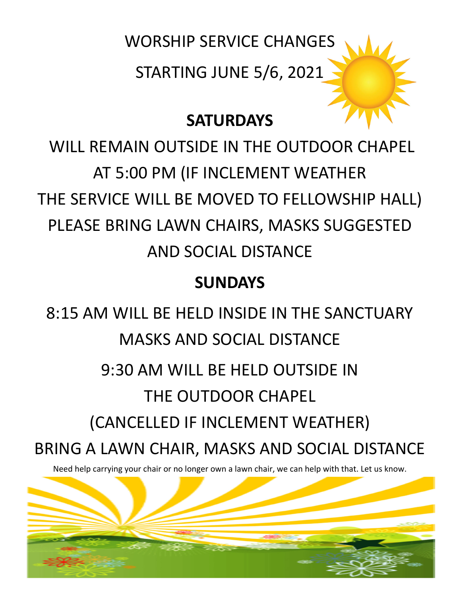

## **SATURDAYS**

WILL REMAIN OUTSIDE IN THE OUTDOOR CHAPEL AT 5:00 PM (IF INCLEMENT WEATHER THE SERVICE WILL BE MOVED TO FELLOWSHIP HALL) PLEASE BRING LAWN CHAIRS, MASKS SUGGESTED AND SOCIAL DISTANCE

## **SUNDAYS**

8:15 AM WILL BE HELD INSIDE IN THE SANCTUARY MASKS AND SOCIAL DISTANCE 9:30 AM WILL BE HELD OUTSIDE IN THE OUTDOOR CHAPEL (CANCELLED IF INCLEMENT WEATHER) BRING A LAWN CHAIR, MASKS AND SOCIAL DISTANCE

Need help carrying your chair or no longer own a lawn chair, we can help with that. Let us know.